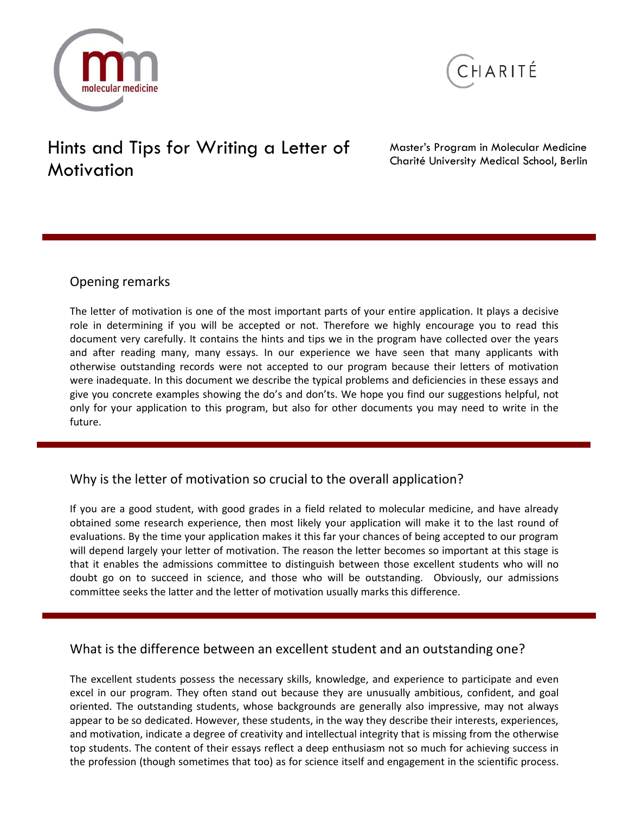



# Hints and Tips for Writing a Letter of **Motivation**

Master's Program in Molecular Medicine Charité University Medical School, Berlin

## Opening remarks

The letter of motivation is one of the most important parts of your entire application. It plays a decisive role in determining if you will be accepted or not. Therefore we highly encourage you to read this document very carefully. It contains the hints and tips we in the program have collected over the years and after reading many, many essays. In our experience we have seen that many applicants with otherwise outstanding records were not accepted to our program because their letters of motivation were inadequate. In this document we describe the typical problems and deficiencies in these essays and give you concrete examples showing the do's and don'ts. We hope you find our suggestions helpful, not only for your application to this program, but also for other documents you may need to write in the future.

# Why is the letter of motivation so crucial to the overall application?

If you are a good student, with good grades in a field related to molecular medicine, and have already obtained some research experience, then most likely your application will make it to the last round of evaluations. By the time your application makes it this far your chances of being accepted to our program will depend largely your letter of motivation. The reason the letter becomes so important at this stage is that it enables the admissions committee to distinguish between those excellent students who will no doubt go on to succeed in science, and those who will be outstanding. Obviously, our admissions committee seeks the latter and the letter of motivation usually marks this difference.

# What is the difference between an excellent student and an outstanding one?

The excellent students possess the necessary skills, knowledge, and experience to participate and even excel in our program. They often stand out because they are unusually ambitious, confident, and goal oriented. The outstanding students, whose backgrounds are generally also impressive, may not always appear to be so dedicated. However, these students, in the way they describe their interests, experiences, and motivation, indicate a degree of creativity and intellectual integrity that is missing from the otherwise top students. The content of their essays reflect a deep enthusiasm not so much for achieving success in the profession (though sometimes that too) as for science itself and engagement in the scientific process.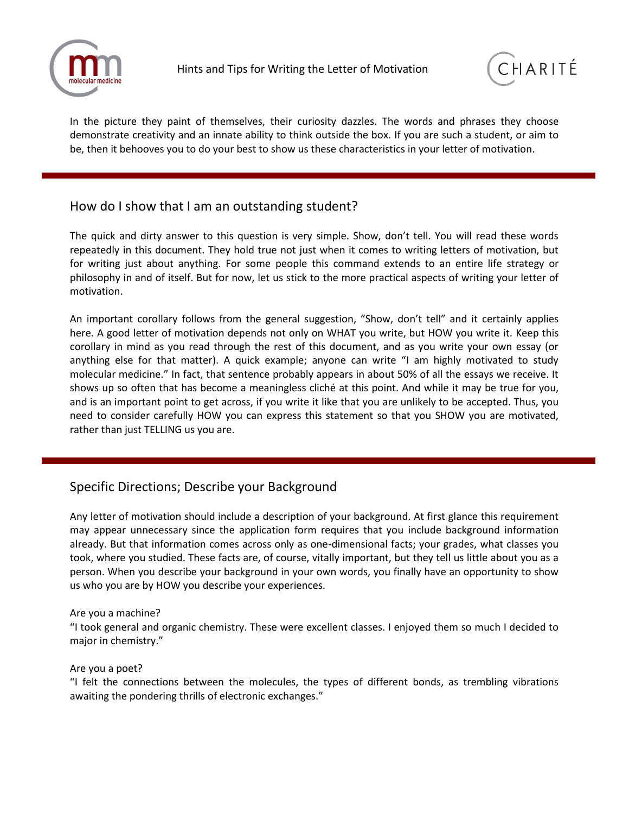



In the picture they paint of themselves, their curiosity dazzles. The words and phrases they choose demonstrate creativity and an innate ability to think outside the box. If you are such a student, or aim to be, then it behooves you to do your best to show us these characteristics in your letter of motivation.

## How do I show that I am an outstanding student?

The quick and dirty answer to this question is very simple. Show, don't tell. You will read these words repeatedly in this document. They hold true not just when it comes to writing letters of motivation, but for writing just about anything. For some people this command extends to an entire life strategy or philosophy in and of itself. But for now, let us stick to the more practical aspects of writing your letter of motivation.

An important corollary follows from the general suggestion, "Show, don't tell" and it certainly applies here. A good letter of motivation depends not only on WHAT you write, but HOW you write it. Keep this corollary in mind as you read through the rest of this document, and as you write your own essay (or anything else for that matter). A quick example; anyone can write "I am highly motivated to study molecular medicine." In fact, that sentence probably appears in about 50% of all the essays we receive. It shows up so often that has become a meaningless cliché at this point. And while it may be true for you, and is an important point to get across, if you write it like that you are unlikely to be accepted. Thus, you need to consider carefully HOW you can express this statement so that you SHOW you are motivated, rather than just TELLING us you are.

# Specific Directions; Describe your Background

Any letter of motivation should include a description of your background. At first glance this requirement may appear unnecessary since the application form requires that you include background information already. But that information comes across only as one-dimensional facts; your grades, what classes you took, where you studied. These facts are, of course, vitally important, but they tell us little about you as a person. When you describe your background in your own words, you finally have an opportunity to show us who you are by HOW you describe your experiences.

#### Are you a machine?

"I took general and organic chemistry. These were excellent classes. I enjoyed them so much I decided to major in chemistry."

#### Are you a poet?

"I felt the connections between the molecules, the types of different bonds, as trembling vibrations awaiting the pondering thrills of electronic exchanges."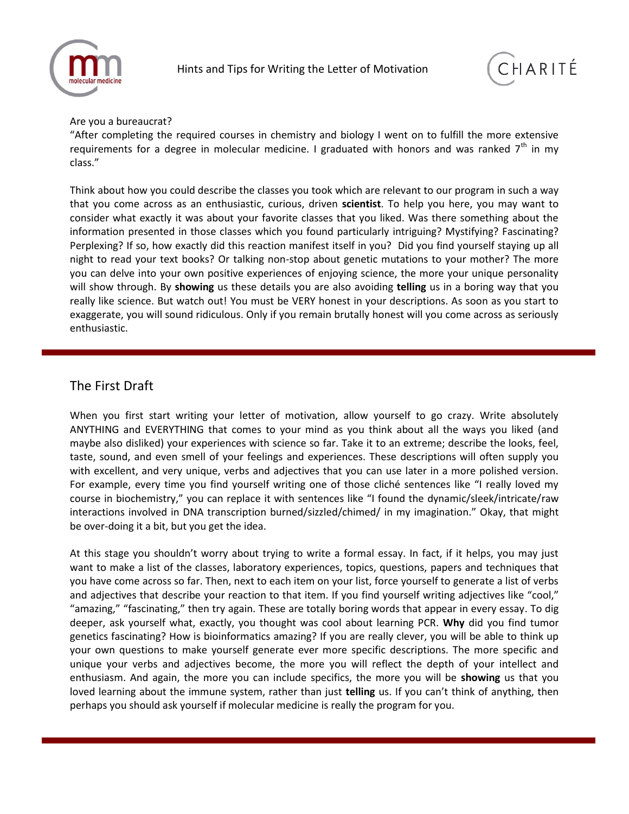



#### Are you a bureaucrat?

"After completing the required courses in chemistry and biology I went on to fulfill the more extensive requirements for a degree in molecular medicine. I graduated with honors and was ranked  $7<sup>th</sup>$  in my class."

Think about how you could describe the classes you took which are relevant to our program in such a way that you come across as an enthusiastic, curious, driven **scientist**. To help you here, you may want to consider what exactly it was about your favorite classes that you liked. Was there something about the information presented in those classes which you found particularly intriguing? Mystifying? Fascinating? Perplexing? If so, how exactly did this reaction manifest itself in you? Did you find yourself staying up all night to read your text books? Or talking non-stop about genetic mutations to your mother? The more you can delve into your own positive experiences of enjoying science, the more your unique personality will show through. By **showing** us these details you are also avoiding **telling** us in a boring way that you really like science. But watch out! You must be VERY honest in your descriptions. As soon as you start to exaggerate, you will sound ridiculous. Only if you remain brutally honest will you come across as seriously enthusiastic.

## The First Draft

When you first start writing your letter of motivation, allow yourself to go crazy. Write absolutely ANYTHING and EVERYTHING that comes to your mind as you think about all the ways you liked (and maybe also disliked) your experiences with science so far. Take it to an extreme; describe the looks, feel, taste, sound, and even smell of your feelings and experiences. These descriptions will often supply you with excellent, and very unique, verbs and adjectives that you can use later in a more polished version. For example, every time you find yourself writing one of those cliché sentences like "I really loved my course in biochemistry," you can replace it with sentences like "I found the dynamic/sleek/intricate/raw interactions involved in DNA transcription burned/sizzled/chimed/ in my imagination." Okay, that might be over-doing it a bit, but you get the idea.

At this stage you shouldn't worry about trying to write a formal essay. In fact, if it helps, you may just want to make a list of the classes, laboratory experiences, topics, questions, papers and techniques that you have come across so far. Then, next to each item on your list, force yourself to generate a list of verbs and adjectives that describe your reaction to that item. If you find yourself writing adjectives like "cool," "amazing," "fascinating," then try again. These are totally boring words that appear in every essay. To dig deeper, ask yourself what, exactly, you thought was cool about learning PCR. **Why** did you find tumor genetics fascinating? How is bioinformatics amazing? If you are really clever, you will be able to think up your own questions to make yourself generate ever more specific descriptions. The more specific and unique your verbs and adjectives become, the more you will reflect the depth of your intellect and enthusiasm. And again, the more you can include specifics, the more you will be **showing** us that you loved learning about the immune system, rather than just **telling** us. If you can't think of anything, then perhaps you should ask yourself if molecular medicine is really the program for you.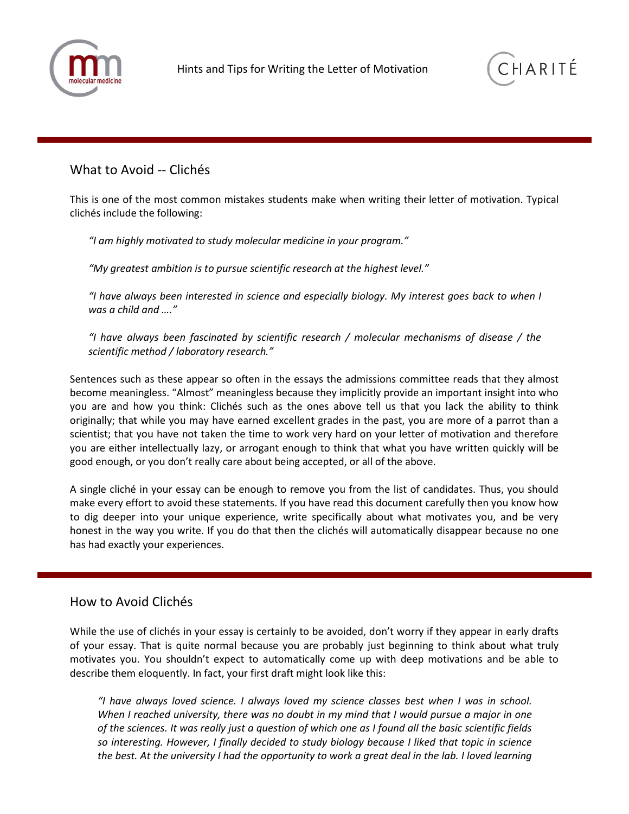



#### What to Avoid -- Clichés

This is one of the most common mistakes students make when writing their letter of motivation. Typical clichés include the following:

*"I am highly motivated to study molecular medicine in your program."*

*"My greatest ambition is to pursue scientific research at the highest level."*

*"I have always been interested in science and especially biology. My interest goes back to when I was a child and …."*

*"I have always been fascinated by scientific research / molecular mechanisms of disease / the scientific method / laboratory research."*

Sentences such as these appear so often in the essays the admissions committee reads that they almost become meaningless. "Almost" meaningless because they implicitly provide an important insight into who you are and how you think: Clichés such as the ones above tell us that you lack the ability to think originally; that while you may have earned excellent grades in the past, you are more of a parrot than a scientist; that you have not taken the time to work very hard on your letter of motivation and therefore you are either intellectually lazy, or arrogant enough to think that what you have written quickly will be good enough, or you don't really care about being accepted, or all of the above.

A single cliché in your essay can be enough to remove you from the list of candidates. Thus, you should make every effort to avoid these statements. If you have read this document carefully then you know how to dig deeper into your unique experience, write specifically about what motivates you, and be very honest in the way you write. If you do that then the clichés will automatically disappear because no one has had exactly your experiences.

#### How to Avoid Clichés

While the use of clichés in your essay is certainly to be avoided, don't worry if they appear in early drafts of your essay. That is quite normal because you are probably just beginning to think about what truly motivates you. You shouldn't expect to automatically come up with deep motivations and be able to describe them eloquently. In fact, your first draft might look like this:

*"I have always loved science. I always loved my science classes best when I was in school. When I reached university, there was no doubt in my mind that I would pursue a major in one of the sciences. It was really just a question of which one as I found all the basic scientific fields so interesting. However, I finally decided to study biology because I liked that topic in science the best. At the university I had the opportunity to work a great deal in the lab. I loved learning*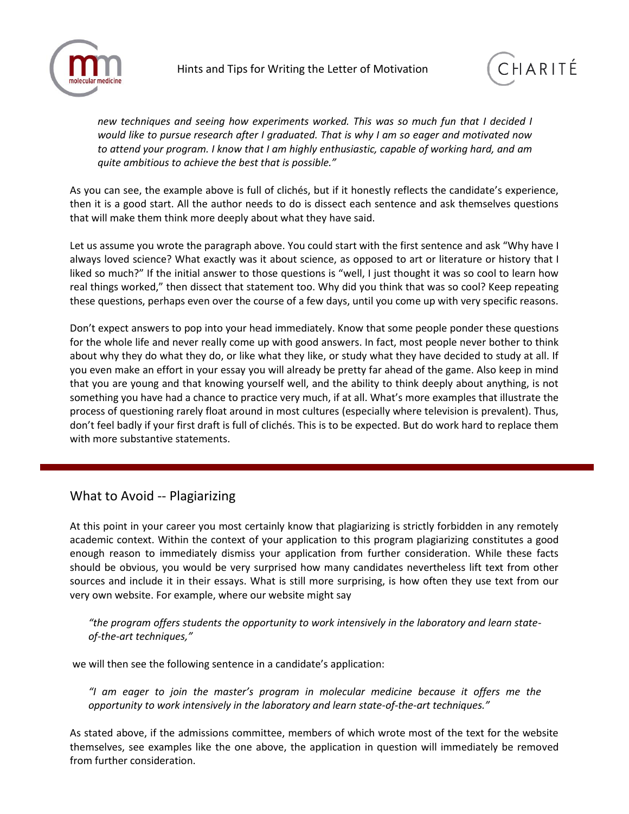



*new techniques and seeing how experiments worked. This was so much fun that I decided I would like to pursue research after I graduated. That is why I am so eager and motivated now to attend your program. I know that I am highly enthusiastic, capable of working hard, and am quite ambitious to achieve the best that is possible."*

As you can see, the example above is full of clichés, but if it honestly reflects the candidate's experience, then it is a good start. All the author needs to do is dissect each sentence and ask themselves questions that will make them think more deeply about what they have said.

Let us assume you wrote the paragraph above. You could start with the first sentence and ask "Why have I always loved science? What exactly was it about science, as opposed to art or literature or history that I liked so much?" If the initial answer to those questions is "well, I just thought it was so cool to learn how real things worked," then dissect that statement too. Why did you think that was so cool? Keep repeating these questions, perhaps even over the course of a few days, until you come up with very specific reasons.

Don't expect answers to pop into your head immediately. Know that some people ponder these questions for the whole life and never really come up with good answers. In fact, most people never bother to think about why they do what they do, or like what they like, or study what they have decided to study at all. If you even make an effort in your essay you will already be pretty far ahead of the game. Also keep in mind that you are young and that knowing yourself well, and the ability to think deeply about anything, is not something you have had a chance to practice very much, if at all. What's more examples that illustrate the process of questioning rarely float around in most cultures (especially where television is prevalent). Thus, don't feel badly if your first draft is full of clichés. This is to be expected. But do work hard to replace them with more substantive statements.

## What to Avoid -- Plagiarizing

At this point in your career you most certainly know that plagiarizing is strictly forbidden in any remotely academic context. Within the context of your application to this program plagiarizing constitutes a good enough reason to immediately dismiss your application from further consideration. While these facts should be obvious, you would be very surprised how many candidates nevertheless lift text from other sources and include it in their essays. What is still more surprising, is how often they use text from our very own website. For example, where our website might say

*"the program offers students the opportunity to work intensively in the laboratory and learn stateof-the-art techniques,"*

we will then see the following sentence in a candidate's application:

*"I am eager to join the master's program in molecular medicine because it offers me the opportunity to work intensively in the laboratory and learn state-of-the-art techniques."*

As stated above, if the admissions committee, members of which wrote most of the text for the website themselves, see examples like the one above, the application in question will immediately be removed from further consideration.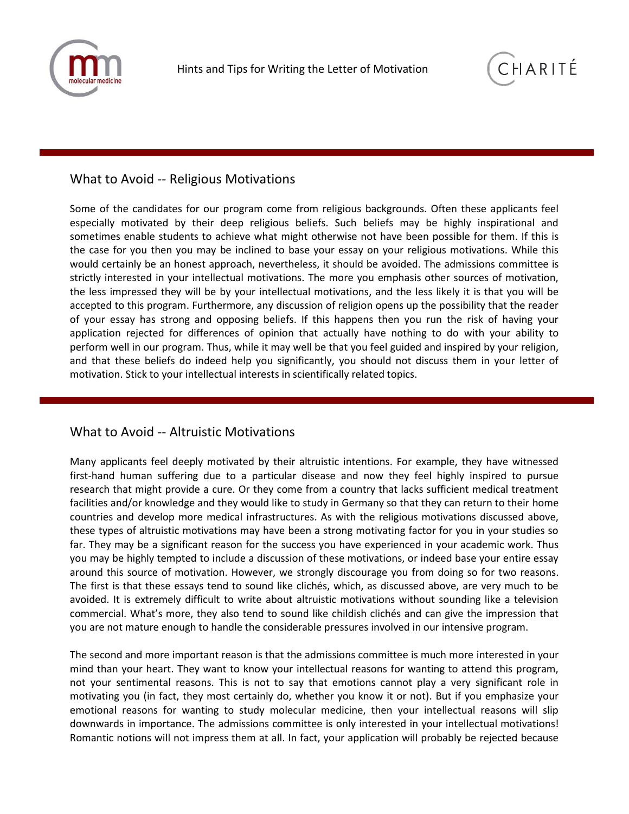



#### What to Avoid -- Religious Motivations

Some of the candidates for our program come from religious backgrounds. Often these applicants feel especially motivated by their deep religious beliefs. Such beliefs may be highly inspirational and sometimes enable students to achieve what might otherwise not have been possible for them. If this is the case for you then you may be inclined to base your essay on your religious motivations. While this would certainly be an honest approach, nevertheless, it should be avoided. The admissions committee is strictly interested in your intellectual motivations. The more you emphasis other sources of motivation, the less impressed they will be by your intellectual motivations, and the less likely it is that you will be accepted to this program. Furthermore, any discussion of religion opens up the possibility that the reader of your essay has strong and opposing beliefs. If this happens then you run the risk of having your application rejected for differences of opinion that actually have nothing to do with your ability to perform well in our program. Thus, while it may well be that you feel guided and inspired by your religion, and that these beliefs do indeed help you significantly, you should not discuss them in your letter of motivation. Stick to your intellectual interests in scientifically related topics.

#### What to Avoid -- Altruistic Motivations

Many applicants feel deeply motivated by their altruistic intentions. For example, they have witnessed first-hand human suffering due to a particular disease and now they feel highly inspired to pursue research that might provide a cure. Or they come from a country that lacks sufficient medical treatment facilities and/or knowledge and they would like to study in Germany so that they can return to their home countries and develop more medical infrastructures. As with the religious motivations discussed above, these types of altruistic motivations may have been a strong motivating factor for you in your studies so far. They may be a significant reason for the success you have experienced in your academic work. Thus you may be highly tempted to include a discussion of these motivations, or indeed base your entire essay around this source of motivation. However, we strongly discourage you from doing so for two reasons. The first is that these essays tend to sound like clichés, which, as discussed above, are very much to be avoided. It is extremely difficult to write about altruistic motivations without sounding like a television commercial. What's more, they also tend to sound like childish clichés and can give the impression that you are not mature enough to handle the considerable pressures involved in our intensive program.

The second and more important reason is that the admissions committee is much more interested in your mind than your heart. They want to know your intellectual reasons for wanting to attend this program, not your sentimental reasons. This is not to say that emotions cannot play a very significant role in motivating you (in fact, they most certainly do, whether you know it or not). But if you emphasize your emotional reasons for wanting to study molecular medicine, then your intellectual reasons will slip downwards in importance. The admissions committee is only interested in your intellectual motivations! Romantic notions will not impress them at all. In fact, your application will probably be rejected because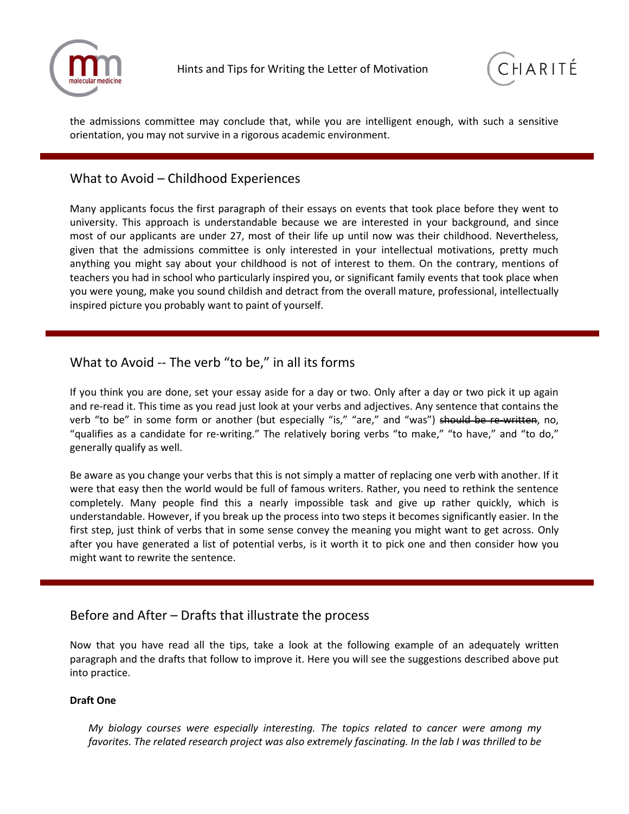



the admissions committee may conclude that, while you are intelligent enough, with such a sensitive orientation, you may not survive in a rigorous academic environment.

## What to Avoid – Childhood Experiences

Many applicants focus the first paragraph of their essays on events that took place before they went to university. This approach is understandable because we are interested in your background, and since most of our applicants are under 27, most of their life up until now was their childhood. Nevertheless, given that the admissions committee is only interested in your intellectual motivations, pretty much anything you might say about your childhood is not of interest to them. On the contrary, mentions of teachers you had in school who particularly inspired you, or significant family events that took place when you were young, make you sound childish and detract from the overall mature, professional, intellectually inspired picture you probably want to paint of yourself.

## What to Avoid -- The verb "to be," in all its forms

If you think you are done, set your essay aside for a day or two. Only after a day or two pick it up again and re-read it. This time as you read just look at your verbs and adjectives. Any sentence that contains the verb "to be" in some form or another (but especially "is," "are," and "was") should be re-written, no, "qualifies as a candidate for re-writing." The relatively boring verbs "to make," "to have," and "to do," generally qualify as well.

Be aware as you change your verbs that this is not simply a matter of replacing one verb with another. If it were that easy then the world would be full of famous writers. Rather, you need to rethink the sentence completely. Many people find this a nearly impossible task and give up rather quickly, which is understandable. However, if you break up the process into two steps it becomes significantly easier. In the first step, just think of verbs that in some sense convey the meaning you might want to get across. Only after you have generated a list of potential verbs, is it worth it to pick one and then consider how you might want to rewrite the sentence.

## Before and After – Drafts that illustrate the process

Now that you have read all the tips, take a look at the following example of an adequately written paragraph and the drafts that follow to improve it. Here you will see the suggestions described above put into practice.

#### **Draft One**

*My biology courses were especially interesting. The topics related to cancer were among my favorites. The related research project was also extremely fascinating. In the lab I was thrilled to be*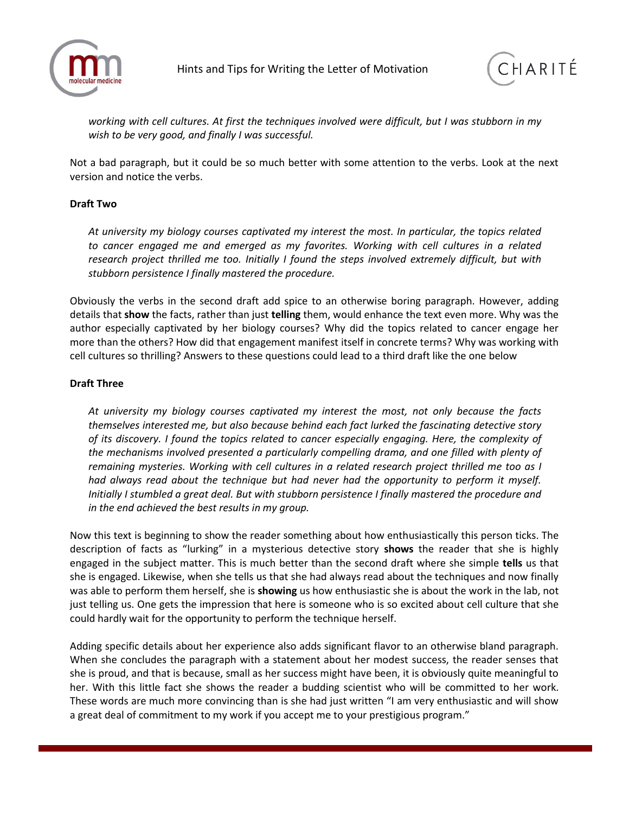



*working with cell cultures. At first the techniques involved were difficult, but I was stubborn in my wish to be very good, and finally I was successful.*

Not a bad paragraph, but it could be so much better with some attention to the verbs. Look at the next version and notice the verbs.

#### **Draft Two**

*At university my biology courses captivated my interest the most. In particular, the topics related to cancer engaged me and emerged as my favorites. Working with cell cultures in a related research project thrilled me too. Initially I found the steps involved extremely difficult, but with stubborn persistence I finally mastered the procedure.*

Obviously the verbs in the second draft add spice to an otherwise boring paragraph. However, adding details that **show** the facts, rather than just **telling** them, would enhance the text even more. Why was the author especially captivated by her biology courses? Why did the topics related to cancer engage her more than the others? How did that engagement manifest itself in concrete terms? Why was working with cell cultures so thrilling? Answers to these questions could lead to a third draft like the one below

#### **Draft Three**

*At university my biology courses captivated my interest the most, not only because the facts themselves interested me, but also because behind each fact lurked the fascinating detective story of its discovery. I found the topics related to cancer especially engaging. Here, the complexity of the mechanisms involved presented a particularly compelling drama, and one filled with plenty of remaining mysteries. Working with cell cultures in a related research project thrilled me too as I*  had always read about the technique but had never had the opportunity to perform it myself. *Initially I stumbled a great deal. But with stubborn persistence I finally mastered the procedure and in the end achieved the best results in my group.*

Now this text is beginning to show the reader something about how enthusiastically this person ticks. The description of facts as "lurking" in a mysterious detective story **shows** the reader that she is highly engaged in the subject matter. This is much better than the second draft where she simple **tells** us that she is engaged. Likewise, when she tells us that she had always read about the techniques and now finally was able to perform them herself, she is **showing** us how enthusiastic she is about the work in the lab, not just telling us. One gets the impression that here is someone who is so excited about cell culture that she could hardly wait for the opportunity to perform the technique herself.

Adding specific details about her experience also adds significant flavor to an otherwise bland paragraph. When she concludes the paragraph with a statement about her modest success, the reader senses that she is proud, and that is because, small as her success might have been, it is obviously quite meaningful to her. With this little fact she shows the reader a budding scientist who will be committed to her work. These words are much more convincing than is she had just written "I am very enthusiastic and will show a great deal of commitment to my work if you accept me to your prestigious program."